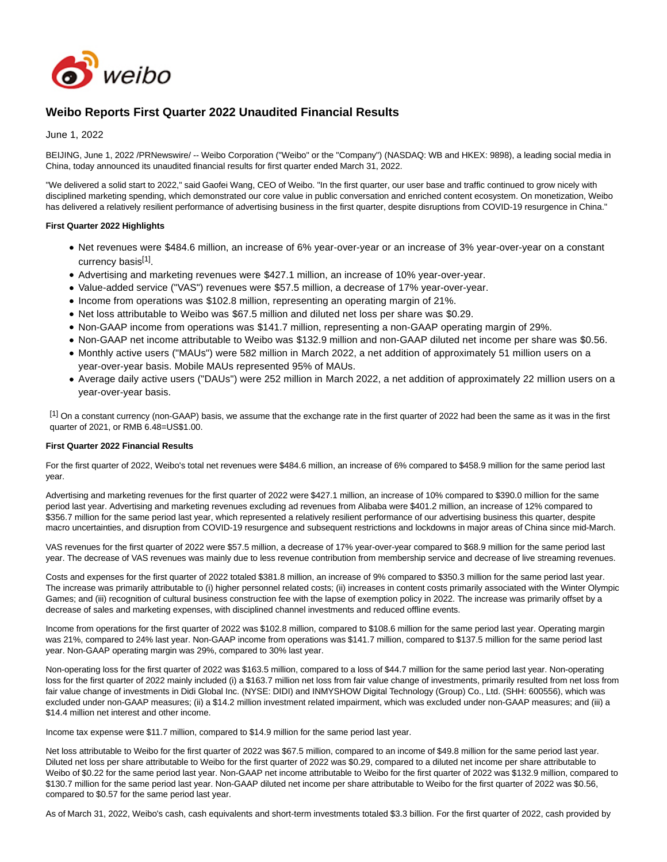

# **Weibo Reports First Quarter 2022 Unaudited Financial Results**

June 1, 2022

BEIJING, June 1, 2022 /PRNewswire/ -- Weibo Corporation ("Weibo" or the "Company") (NASDAQ: WB and HKEX: 9898), a leading social media in China, today announced its unaudited financial results for first quarter ended March 31, 2022.

"We delivered a solid start to 2022," said Gaofei Wang, CEO of Weibo. "In the first quarter, our user base and traffic continued to grow nicely with disciplined marketing spending, which demonstrated our core value in public conversation and enriched content ecosystem. On monetization, Weibo has delivered a relatively resilient performance of advertising business in the first quarter, despite disruptions from COVID-19 resurgence in China."

## **First Quarter 2022 Highlights**

- Net revenues were \$484.6 million, an increase of 6% year-over-year or an increase of 3% year-over-year on a constant currency basis<sup>[1]</sup>.
- Advertising and marketing revenues were \$427.1 million, an increase of 10% year-over-year.
- Value-added service ("VAS") revenues were \$57.5 million, a decrease of 17% year-over-year.
- Income from operations was \$102.8 million, representing an operating margin of 21%.
- Net loss attributable to Weibo was \$67.5 million and diluted net loss per share was \$0.29.
- Non-GAAP income from operations was \$141.7 million, representing a non-GAAP operating margin of 29%.
- Non-GAAP net income attributable to Weibo was \$132.9 million and non-GAAP diluted net income per share was \$0.56.
- Monthly active users ("MAUs") were 582 million in March 2022, a net addition of approximately 51 million users on a year-over-year basis. Mobile MAUs represented 95% of MAUs.
- Average daily active users ("DAUs") were 252 million in March 2022, a net addition of approximately 22 million users on a year-over-year basis.

<sup>[1]</sup> On a constant currency (non-GAAP) basis, we assume that the exchange rate in the first quarter of 2022 had been the same as it was in the first quarter of 2021, or RMB 6.48=US\$1.00.

## **First Quarter 2022 Financial Results**

For the first quarter of 2022, Weibo's total net revenues were \$484.6 million, an increase of 6% compared to \$458.9 million for the same period last year.

Advertising and marketing revenues for the first quarter of 2022 were \$427.1 million, an increase of 10% compared to \$390.0 million for the same period last year. Advertising and marketing revenues excluding ad revenues from Alibaba were \$401.2 million, an increase of 12% compared to \$356.7 million for the same period last year, which represented a relatively resilient performance of our advertising business this quarter, despite macro uncertainties, and disruption from COVID-19 resurgence and subsequent restrictions and lockdowns in major areas of China since mid-March.

VAS revenues for the first quarter of 2022 were \$57.5 million, a decrease of 17% year-over-year compared to \$68.9 million for the same period last year. The decrease of VAS revenues was mainly due to less revenue contribution from membership service and decrease of live streaming revenues.

Costs and expenses for the first quarter of 2022 totaled \$381.8 million, an increase of 9% compared to \$350.3 million for the same period last year. The increase was primarily attributable to (i) higher personnel related costs; (ii) increases in content costs primarily associated with the Winter Olympic Games; and (iii) recognition of cultural business construction fee with the lapse of exemption policy in 2022. The increase was primarily offset by a decrease of sales and marketing expenses, with disciplined channel investments and reduced offline events.

Income from operations for the first quarter of 2022 was \$102.8 million, compared to \$108.6 million for the same period last year. Operating margin was 21%, compared to 24% last year. Non-GAAP income from operations was \$141.7 million, compared to \$137.5 million for the same period last year. Non-GAAP operating margin was 29%, compared to 30% last year.

Non-operating loss for the first quarter of 2022 was \$163.5 million, compared to a loss of \$44.7 million for the same period last year. Non-operating loss for the first quarter of 2022 mainly included (i) a \$163.7 million net loss from fair value change of investments, primarily resulted from net loss from fair value change of investments in Didi Global Inc. (NYSE: DIDI) and INMYSHOW Digital Technology (Group) Co., Ltd. (SHH: 600556), which was excluded under non-GAAP measures; (ii) a \$14.2 million investment related impairment, which was excluded under non-GAAP measures; and (iii) a \$14.4 million net interest and other income.

Income tax expense were \$11.7 million, compared to \$14.9 million for the same period last year.

Net loss attributable to Weibo for the first quarter of 2022 was \$67.5 million, compared to an income of \$49.8 million for the same period last year. Diluted net loss per share attributable to Weibo for the first quarter of 2022 was \$0.29, compared to a diluted net income per share attributable to Weibo of \$0.22 for the same period last year. Non-GAAP net income attributable to Weibo for the first quarter of 2022 was \$132.9 million, compared to \$130.7 million for the same period last year. Non-GAAP diluted net income per share attributable to Weibo for the first quarter of 2022 was \$0.56, compared to \$0.57 for the same period last year.

As of March 31, 2022, Weibo's cash, cash equivalents and short-term investments totaled \$3.3 billion. For the first quarter of 2022, cash provided by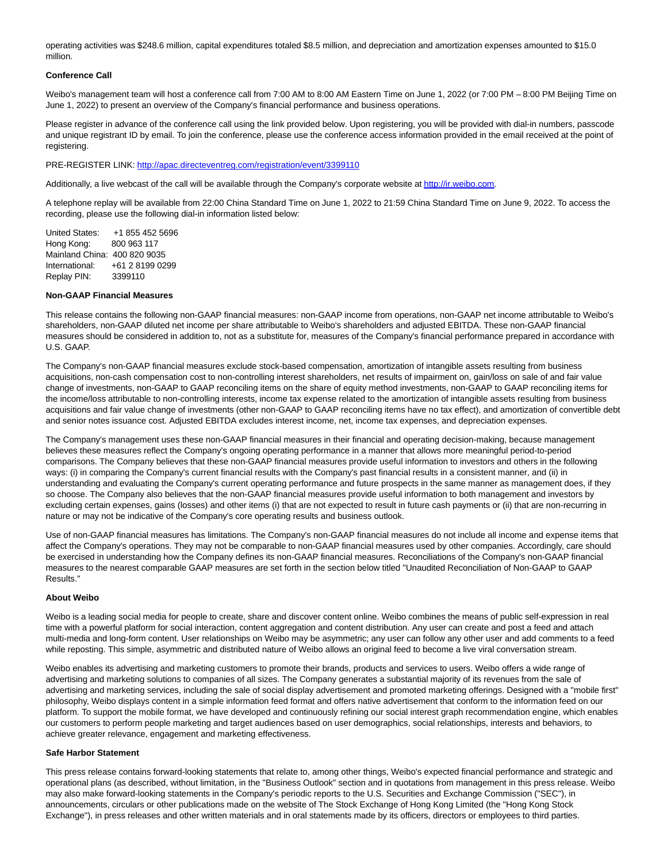operating activities was \$248.6 million, capital expenditures totaled \$8.5 million, and depreciation and amortization expenses amounted to \$15.0 million.

## **Conference Call**

Weibo's management team will host a conference call from 7:00 AM to 8:00 AM Eastern Time on June 1, 2022 (or 7:00 PM – 8:00 PM Beijing Time on June 1, 2022) to present an overview of the Company's financial performance and business operations.

Please register in advance of the conference call using the link provided below. Upon registering, you will be provided with dial-in numbers, passcode and unique registrant ID by email. To join the conference, please use the conference access information provided in the email received at the point of registering.

PRE-REGISTER LINK[: http://apac.directeventreg.com/registration/event/3399110](http://apac.directeventreg.com/registration/event/3399110)

Additionally, a live webcast of the call will be available through the Company's corporate website a[t http://ir.weibo.com.](http://ir.weibo.com/)

A telephone replay will be available from 22:00 China Standard Time on June 1, 2022 to 21:59 China Standard Time on June 9, 2022. To access the recording, please use the following dial-in information listed below:

United States: +1 855 452 5696 Hong Kong: 800 963 117 Mainland China: 400 820 9035 International: +61 2 8199 0299 Replay PIN: 3399110

#### **Non-GAAP Financial Measures**

This release contains the following non-GAAP financial measures: non-GAAP income from operations, non-GAAP net income attributable to Weibo's shareholders, non-GAAP diluted net income per share attributable to Weibo's shareholders and adjusted EBITDA. These non-GAAP financial measures should be considered in addition to, not as a substitute for, measures of the Company's financial performance prepared in accordance with U.S. GAAP.

The Company's non-GAAP financial measures exclude stock-based compensation, amortization of intangible assets resulting from business acquisitions, non-cash compensation cost to non-controlling interest shareholders, net results of impairment on, gain/loss on sale of and fair value change of investments, non-GAAP to GAAP reconciling items on the share of equity method investments, non-GAAP to GAAP reconciling items for the income/loss attributable to non-controlling interests, income tax expense related to the amortization of intangible assets resulting from business acquisitions and fair value change of investments (other non-GAAP to GAAP reconciling items have no tax effect), and amortization of convertible debt and senior notes issuance cost. Adjusted EBITDA excludes interest income, net, income tax expenses, and depreciation expenses.

The Company's management uses these non-GAAP financial measures in their financial and operating decision-making, because management believes these measures reflect the Company's ongoing operating performance in a manner that allows more meaningful period-to-period comparisons. The Company believes that these non-GAAP financial measures provide useful information to investors and others in the following ways: (i) in comparing the Company's current financial results with the Company's past financial results in a consistent manner, and (ii) in understanding and evaluating the Company's current operating performance and future prospects in the same manner as management does, if they so choose. The Company also believes that the non-GAAP financial measures provide useful information to both management and investors by excluding certain expenses, gains (losses) and other items (i) that are not expected to result in future cash payments or (ii) that are non-recurring in nature or may not be indicative of the Company's core operating results and business outlook.

Use of non-GAAP financial measures has limitations. The Company's non-GAAP financial measures do not include all income and expense items that affect the Company's operations. They may not be comparable to non-GAAP financial measures used by other companies. Accordingly, care should be exercised in understanding how the Company defines its non-GAAP financial measures. Reconciliations of the Company's non-GAAP financial measures to the nearest comparable GAAP measures are set forth in the section below titled "Unaudited Reconciliation of Non-GAAP to GAAP Results."

#### **About Weibo**

Weibo is a leading social media for people to create, share and discover content online. Weibo combines the means of public self-expression in real time with a powerful platform for social interaction, content aggregation and content distribution. Any user can create and post a feed and attach multi-media and long-form content. User relationships on Weibo may be asymmetric; any user can follow any other user and add comments to a feed while reposting. This simple, asymmetric and distributed nature of Weibo allows an original feed to become a live viral conversation stream.

Weibo enables its advertising and marketing customers to promote their brands, products and services to users. Weibo offers a wide range of advertising and marketing solutions to companies of all sizes. The Company generates a substantial majority of its revenues from the sale of advertising and marketing services, including the sale of social display advertisement and promoted marketing offerings. Designed with a "mobile first" philosophy, Weibo displays content in a simple information feed format and offers native advertisement that conform to the information feed on our platform. To support the mobile format, we have developed and continuously refining our social interest graph recommendation engine, which enables our customers to perform people marketing and target audiences based on user demographics, social relationships, interests and behaviors, to achieve greater relevance, engagement and marketing effectiveness.

#### **Safe Harbor Statement**

This press release contains forward-looking statements that relate to, among other things, Weibo's expected financial performance and strategic and operational plans (as described, without limitation, in the "Business Outlook" section and in quotations from management in this press release. Weibo may also make forward-looking statements in the Company's periodic reports to the U.S. Securities and Exchange Commission ("SEC"), in announcements, circulars or other publications made on the website of The Stock Exchange of Hong Kong Limited (the "Hong Kong Stock Exchange"), in press releases and other written materials and in oral statements made by its officers, directors or employees to third parties.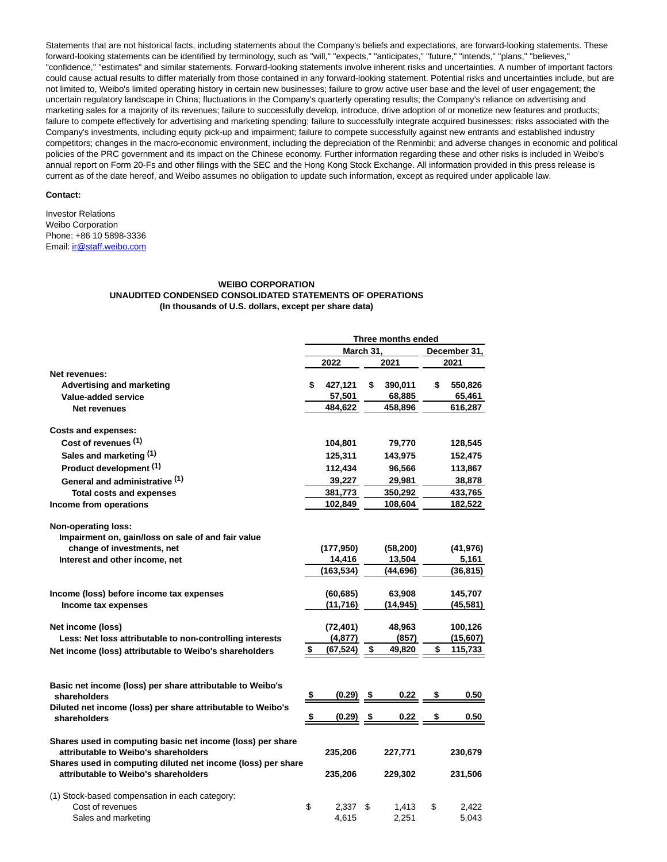Statements that are not historical facts, including statements about the Company's beliefs and expectations, are forward-looking statements. These forward-looking statements can be identified by terminology, such as "will," "expects," "anticipates," "future," "intends," "plans," "believes," "confidence," "estimates" and similar statements. Forward-looking statements involve inherent risks and uncertainties. A number of important factors could cause actual results to differ materially from those contained in any forward-looking statement. Potential risks and uncertainties include, but are not limited to, Weibo's limited operating history in certain new businesses; failure to grow active user base and the level of user engagement; the uncertain regulatory landscape in China; fluctuations in the Company's quarterly operating results; the Company's reliance on advertising and marketing sales for a majority of its revenues; failure to successfully develop, introduce, drive adoption of or monetize new features and products; failure to compete effectively for advertising and marketing spending; failure to successfully integrate acquired businesses; risks associated with the Company's investments, including equity pick-up and impairment; failure to compete successfully against new entrants and established industry competitors; changes in the macro-economic environment, including the depreciation of the Renminbi; and adverse changes in economic and political policies of the PRC government and its impact on the Chinese economy. Further information regarding these and other risks is included in Weibo's annual report on Form 20-Fs and other filings with the SEC and the Hong Kong Stock Exchange. All information provided in this press release is current as of the date hereof, and Weibo assumes no obligation to update such information, except as required under applicable law.

#### **Contact:**

Investor Relations Weibo Corporation Phone: +86 10 5898-3336 Email[: ir@staff.weibo.com](mailto:ir@staff.weibo.com)

### **WEIBO CORPORATION UNAUDITED CONDENSED CONSOLIDATED STATEMENTS OF OPERATIONS (In thousands of U.S. dollars, except per share data)**

|                                                                                                      | Three months ended |            |      |           |              |           |
|------------------------------------------------------------------------------------------------------|--------------------|------------|------|-----------|--------------|-----------|
|                                                                                                      | March 31,          |            |      |           | December 31, |           |
|                                                                                                      |                    | 2022       |      | 2021      |              | 2021      |
| Net revenues:                                                                                        |                    |            |      |           |              |           |
| <b>Advertising and marketing</b>                                                                     | \$                 | 427,121    | \$   | 390,011   | \$           | 550,826   |
| Value-added service                                                                                  |                    | 57,501     |      | 68,885    |              | 65,461    |
| Net revenues                                                                                         |                    | 484,622    |      | 458,896   |              | 616,287   |
| <b>Costs and expenses:</b>                                                                           |                    |            |      |           |              |           |
| Cost of revenues (1)                                                                                 |                    | 104,801    |      | 79,770    |              | 128,545   |
| Sales and marketing (1)                                                                              |                    | 125,311    |      | 143,975   |              | 152,475   |
| Product development (1)                                                                              |                    | 112,434    |      | 96,566    |              | 113,867   |
| General and administrative (1)                                                                       |                    | 39,227     |      | 29,981    |              | 38,878    |
| <b>Total costs and expenses</b>                                                                      |                    | 381,773    |      | 350,292   |              | 433,765   |
| Income from operations                                                                               |                    | 102,849    |      | 108,604   |              | 182,522   |
| <b>Non-operating loss:</b>                                                                           |                    |            |      |           |              |           |
| Impairment on, gain/loss on sale of and fair value                                                   |                    |            |      |           |              |           |
| change of investments, net                                                                           |                    | (177, 950) |      | (58, 200) |              | (41, 976) |
| Interest and other income, net                                                                       |                    | 14,416     |      | 13,504    |              | 5,161     |
|                                                                                                      |                    | (163, 534) |      | (44,696)  |              | (36,815)  |
| Income (loss) before income tax expenses                                                             |                    | (60, 685)  |      | 63,908    |              | 145,707   |
| Income tax expenses                                                                                  |                    | (11, 716)  |      | (14,945)  |              | (45,581)  |
| Net income (loss)                                                                                    |                    | (72, 401)  |      | 48,963    |              | 100,126   |
| Less: Net loss attributable to non-controlling interests                                             |                    | (4, 877)   |      | (857)     |              | (15, 607) |
| Net income (loss) attributable to Weibo's shareholders                                               | \$                 | (67, 524)  | \$   | 49,820    | 5            | 115,733   |
|                                                                                                      |                    |            |      |           |              |           |
| Basic net income (loss) per share attributable to Weibo's                                            |                    |            |      |           |              |           |
| shareholders                                                                                         | S                  | (0.29)     |      | 0.22      |              | 0.50      |
| Diluted net income (loss) per share attributable to Weibo's<br>shareholders                          | \$                 | (0.29)     | - \$ | 0.22      | \$           | 0.50      |
|                                                                                                      |                    |            |      |           |              |           |
| Shares used in computing basic net income (loss) per share                                           |                    |            |      |           |              |           |
| attributable to Weibo's shareholders<br>Shares used in computing diluted net income (loss) per share |                    | 235,206    |      | 227,771   |              | 230,679   |
| attributable to Weibo's shareholders                                                                 |                    | 235,206    |      | 229,302   |              | 231,506   |
| (1) Stock-based compensation in each category:                                                       |                    |            |      |           |              |           |
| Cost of revenues                                                                                     | \$                 | 2.337      | S    | 1,413     | \$           | 2,422     |
| Sales and marketing                                                                                  |                    | 4,615      |      | 2,251     |              | 5,043     |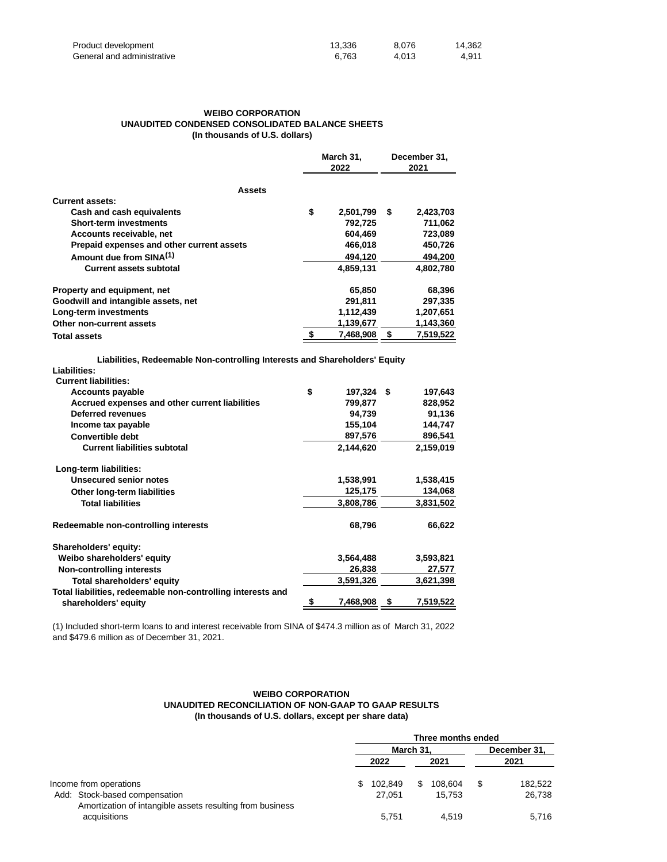| Product development        | 13.336 | 8.076 | 14.362 |
|----------------------------|--------|-------|--------|
| General and administrative | 6.763  | 4.013 | 4.911  |

## **WEIBO CORPORATION UNAUDITED CONDENSED CONSOLIDATED BALANCE SHEETS (In thousands of U.S. dollars)**

|                                                                                                                                                                                                                                                                                                                            | March 31,<br>2022 |                                                                 |    | December 31,<br>2021                                            |
|----------------------------------------------------------------------------------------------------------------------------------------------------------------------------------------------------------------------------------------------------------------------------------------------------------------------------|-------------------|-----------------------------------------------------------------|----|-----------------------------------------------------------------|
| Assets                                                                                                                                                                                                                                                                                                                     |                   |                                                                 |    |                                                                 |
| <b>Current assets:</b>                                                                                                                                                                                                                                                                                                     |                   |                                                                 |    |                                                                 |
| Cash and cash equivalents                                                                                                                                                                                                                                                                                                  | \$                | 2,501,799                                                       | \$ | 2,423,703                                                       |
| <b>Short-term investments</b>                                                                                                                                                                                                                                                                                              |                   | 792,725                                                         |    | 711,062                                                         |
| Accounts receivable, net                                                                                                                                                                                                                                                                                                   |                   | 604,469                                                         |    | 723,089                                                         |
| Prepaid expenses and other current assets                                                                                                                                                                                                                                                                                  |                   | 466,018                                                         |    | 450,726                                                         |
| Amount due from SINA <sup>(1)</sup>                                                                                                                                                                                                                                                                                        |                   | 494,120                                                         |    | 494,200                                                         |
| <b>Current assets subtotal</b>                                                                                                                                                                                                                                                                                             |                   | 4,859,131                                                       |    | 4,802,780                                                       |
| Property and equipment, net                                                                                                                                                                                                                                                                                                |                   | 65,850                                                          |    | 68,396                                                          |
| Goodwill and intangible assets, net                                                                                                                                                                                                                                                                                        |                   | 291,811                                                         |    | 297,335                                                         |
| Long-term investments                                                                                                                                                                                                                                                                                                      |                   | 1,112,439                                                       |    | 1,207,651                                                       |
| Other non-current assets                                                                                                                                                                                                                                                                                                   |                   | 1,139,677                                                       |    | 1,143,360                                                       |
| <b>Total assets</b>                                                                                                                                                                                                                                                                                                        | \$                | 7,468,908                                                       | \$ | 7,519,522                                                       |
| Liabilities, Redeemable Non-controlling Interests and Shareholders' Equity<br>Liabilities:<br><b>Current liabilities:</b><br><b>Accounts payable</b><br>Accrued expenses and other current liabilities<br><b>Deferred revenues</b><br>Income tax payable<br><b>Convertible debt</b><br><b>Current liabilities subtotal</b> | \$                | 197,324<br>799,877<br>94,739<br>155,104<br>897,576<br>2,144,620 | S  | 197,643<br>828,952<br>91,136<br>144,747<br>896,541<br>2,159,019 |
| Long-term liabilities:                                                                                                                                                                                                                                                                                                     |                   |                                                                 |    |                                                                 |
| <b>Unsecured senior notes</b>                                                                                                                                                                                                                                                                                              |                   | 1,538,991                                                       |    | 1,538,415                                                       |
| Other long-term liabilities                                                                                                                                                                                                                                                                                                |                   | 125,175                                                         |    | 134,068                                                         |
| <b>Total liabilities</b>                                                                                                                                                                                                                                                                                                   |                   | 3,808,786                                                       |    | 3,831,502                                                       |
| Redeemable non-controlling interests                                                                                                                                                                                                                                                                                       |                   | 68,796                                                          |    | 66,622                                                          |
| Shareholders' equity:                                                                                                                                                                                                                                                                                                      |                   |                                                                 |    |                                                                 |
| Weibo shareholders' equity                                                                                                                                                                                                                                                                                                 |                   | 3,564,488                                                       |    | 3,593,821                                                       |
| <b>Non-controlling interests</b>                                                                                                                                                                                                                                                                                           |                   | 26,838                                                          |    | 27,577                                                          |
| <b>Total shareholders' equity</b>                                                                                                                                                                                                                                                                                          |                   | 3,591,326                                                       |    | 3,621,398                                                       |
| Total liabilities, redeemable non-controlling interests and<br>shareholders' equity                                                                                                                                                                                                                                        | \$                | 7,468,908                                                       | \$ | 7,519,522                                                       |

(1) Included short-term loans to and interest receivable from SINA of \$474.3 million as of March 31, 2022 and \$479.6 million as of December 31, 2021.

## **WEIBO CORPORATION UNAUDITED RECONCILIATION OF NON-GAAP TO GAAP RESULTS (In thousands of U.S. dollars, except per share data)**

|                                                                                            | Three months ended |         |      |              |  |         |
|--------------------------------------------------------------------------------------------|--------------------|---------|------|--------------|--|---------|
|                                                                                            | March 31.          |         |      | December 31, |  |         |
|                                                                                            | 2022<br>2021       |         | 2021 |              |  |         |
| Income from operations                                                                     | \$.                | 102.849 |      | 108.604      |  | 182,522 |
| Add: Stock-based compensation<br>Amortization of intangible assets resulting from business |                    | 27.051  |      | 15.753       |  | 26,738  |
| acquisitions                                                                               |                    | 5,751   |      | 4.519        |  | 5,716   |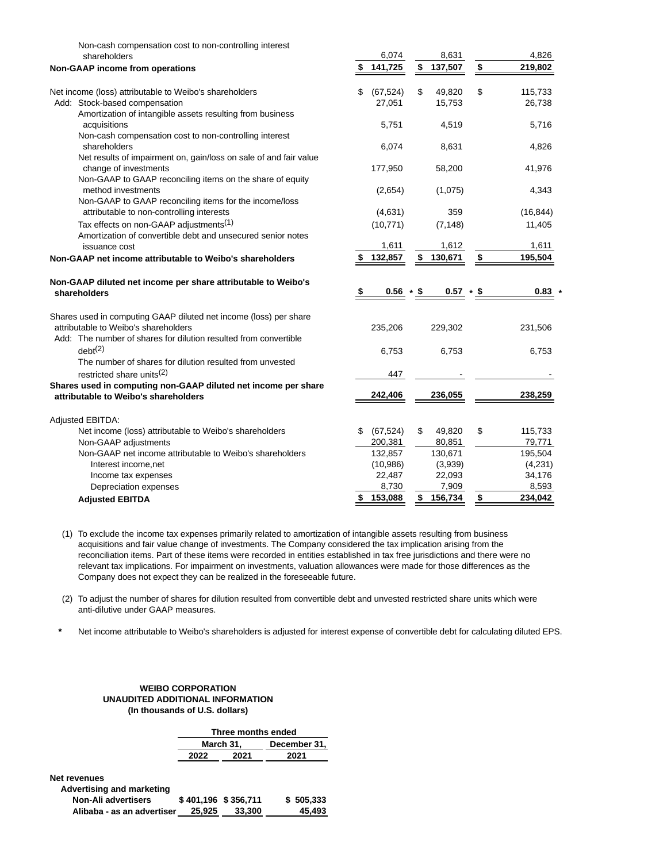|                     | Non-cash compensation cost to non-controlling interest<br>shareholders | 6,074            | 8,631           | 4,826           |
|---------------------|------------------------------------------------------------------------|------------------|-----------------|-----------------|
|                     | Non-GAAP income from operations                                        | 141,725          | \$<br>137,507   | \$<br>219,802   |
|                     |                                                                        |                  |                 |                 |
|                     | Net income (loss) attributable to Weibo's shareholders                 | \$<br>(67, 524)  | \$<br>49,820    | \$<br>115,733   |
|                     | Add: Stock-based compensation                                          | 27,051           | 15,753          | 26,738          |
|                     | Amortization of intangible assets resulting from business              |                  |                 |                 |
|                     | acquisitions                                                           | 5,751            | 4,519           | 5,716           |
|                     | Non-cash compensation cost to non-controlling interest                 |                  |                 |                 |
|                     | shareholders                                                           | 6,074            | 8,631           | 4,826           |
|                     | Net results of impairment on, gain/loss on sale of and fair value      |                  |                 |                 |
|                     | change of investments                                                  | 177,950          | 58,200          | 41,976          |
|                     | Non-GAAP to GAAP reconciling items on the share of equity              |                  |                 |                 |
|                     | method investments                                                     | (2,654)          | (1,075)         | 4,343           |
|                     | Non-GAAP to GAAP reconciling items for the income/loss                 |                  |                 |                 |
|                     | attributable to non-controlling interests                              | (4,631)          | 359             | (16, 844)       |
|                     | Tax effects on non-GAAP adjustments <sup>(1)</sup>                     | (10, 771)        | (7, 148)        | 11,405          |
|                     | Amortization of convertible debt and unsecured senior notes            |                  |                 |                 |
|                     | issuance cost                                                          | 1,611            | 1,612           | 1,611           |
|                     | Non-GAAP net income attributable to Weibo's shareholders               | 132,857          | 130,671         | \$<br>195,504   |
|                     |                                                                        |                  |                 |                 |
|                     | Non-GAAP diluted net income per share attributable to Weibo's          |                  |                 |                 |
| shareholders        |                                                                        | \$<br>$0.56 * $$ | $0.57 * $$      | 0.83            |
|                     |                                                                        |                  |                 |                 |
|                     | Shares used in computing GAAP diluted net income (loss) per share      |                  |                 |                 |
|                     | attributable to Weibo's shareholders                                   | 235,206          | 229,302         | 231,506         |
|                     | Add: The number of shares for dilution resulted from convertible       |                  |                 |                 |
| debt <sup>(2)</sup> |                                                                        | 6,753            | 6,753           | 6,753           |
|                     | The number of shares for dilution resulted from unvested               |                  |                 |                 |
|                     | restricted share units <sup>(2)</sup>                                  | 447              |                 |                 |
|                     | Shares used in computing non-GAAP diluted net income per share         |                  |                 |                 |
|                     | attributable to Weibo's shareholders                                   | 242,406          | 236,055         | 238,259         |
|                     |                                                                        |                  |                 |                 |
| Adjusted EBITDA:    |                                                                        |                  |                 |                 |
|                     | Net income (loss) attributable to Weibo's shareholders                 | \$<br>(67, 524)  | \$<br>49,820    | \$<br>115,733   |
|                     | Non-GAAP adjustments                                                   | 200,381          | 80,851          | 79,771          |
|                     | Non-GAAP net income attributable to Weibo's shareholders               | 132,857          | 130,671         | 195,504         |
|                     | Interest income, net                                                   | (10,986)         | (3,939)         | (4,231)         |
|                     | Income tax expenses                                                    | 22,487<br>8,730  | 22,093<br>7,909 | 34,176<br>8,593 |
|                     | Depreciation expenses                                                  |                  |                 |                 |
|                     | <b>Adjusted EBITDA</b>                                                 | \$<br>153,088    | \$<br>156,734   | \$<br>234,042   |

(1) To exclude the income tax expenses primarily related to amortization of intangible assets resulting from business acquisitions and fair value change of investments. The Company considered the tax implication arising from the reconciliation items. Part of these items were recorded in entities established in tax free jurisdictions and there were no relevant tax implications. For impairment on investments, valuation allowances were made for those differences as the Company does not expect they can be realized in the foreseeable future.

- (2) To adjust the number of shares for dilution resulted from convertible debt and unvested restricted share units which were anti-dilutive under GAAP measures.
- **\*** Net income attributable to Weibo's shareholders is adjusted for interest expense of convertible debt for calculating diluted EPS.

## **WEIBO CORPORATION UNAUDITED ADDITIONAL INFORMATION (In thousands of U.S. dollars)**

| Three months ended |           |              |  |  |
|--------------------|-----------|--------------|--|--|
|                    | March 31, | December 31, |  |  |
| 2022               | 2021      | 2021         |  |  |

| Net revenues               |                     |        |           |
|----------------------------|---------------------|--------|-----------|
| Advertising and marketing  |                     |        |           |
| Non-Ali advertisers        | \$401.196 \$356.711 |        | \$505.333 |
| Alibaba - as an advertiser | 25.925              | 33.300 | 45.493    |